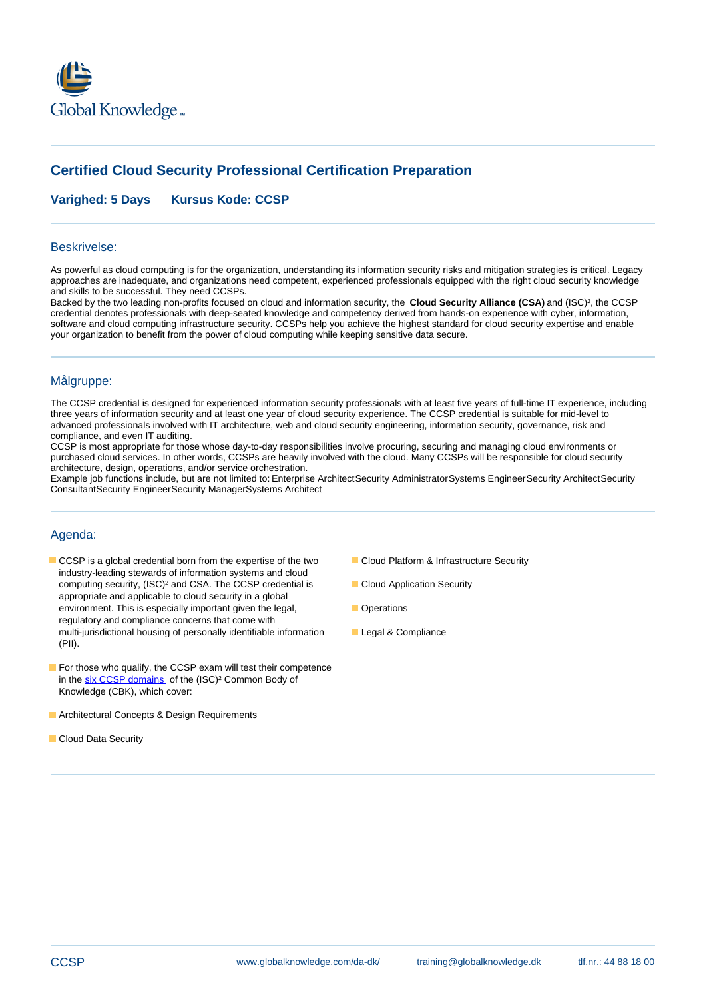

# **Certified Cloud Security Professional Certification Preparation**

**Varighed: 5 Days Kursus Kode: CCSP** 

### Beskrivelse:

As powerful as cloud computing is for the organization, understanding its information security risks and mitigation strategies is critical. Legacy approaches are inadequate, and organizations need competent, experienced professionals equipped with the right cloud security knowledge and skills to be successful. They need CCSPs.

Backed by the two leading non-profits focused on cloud and information security, the **Cloud Security Alliance (CSA)** and (ISC)², the CCSP credential denotes professionals with deep-seated knowledge and competency derived from hands-on experience with cyber, information, software and cloud computing infrastructure security. CCSPs help you achieve the highest standard for cloud security expertise and enable your organization to benefit from the power of cloud computing while keeping sensitive data secure.

### Målgruppe:

The CCSP credential is designed for experienced information security professionals with at least five years of full-time IT experience, including three years of information security and at least one year of cloud security experience. The CCSP credential is suitable for mid-level to advanced professionals involved with IT architecture, web and cloud security engineering, information security, governance, risk and compliance, and even IT auditing.

CCSP is most appropriate for those whose day-to-day responsibilities involve procuring, securing and managing cloud environments or purchased cloud services. In other words, CCSPs are heavily involved with the cloud. Many CCSPs will be responsible for cloud security architecture, design, operations, and/or service orchestration.

Example job functions include, but are not limited to: Enterprise ArchitectSecurity AdministratorSystems EngineerSecurity ArchitectSecurity ConsultantSecurity EngineerSecurity ManagerSystems Architect

## Agenda:

- CCSP is a global credential born from the expertise of the two **Cloud Platform & Infrastructure Security** industry-leading stewards of information systems and cloud computing security, (ISC)² and CSA. The CCSP credential is Cloud Application Security appropriate and applicable to cloud security in a global environment. This is especially important given the legal, **Democrations** regulatory and compliance concerns that come with multi-jurisdictional housing of personally identifiable information Legal & Compliance (PII).
- For those who qualify, the CCSP exam will test their competence in the six CCSP domains of the (ISC)<sup>2</sup> Common Body of Knowledge (CBK), which cover:
- **Architectural Concepts & Design Requirements**
- Cloud Data Security
- 
- 
- 
-